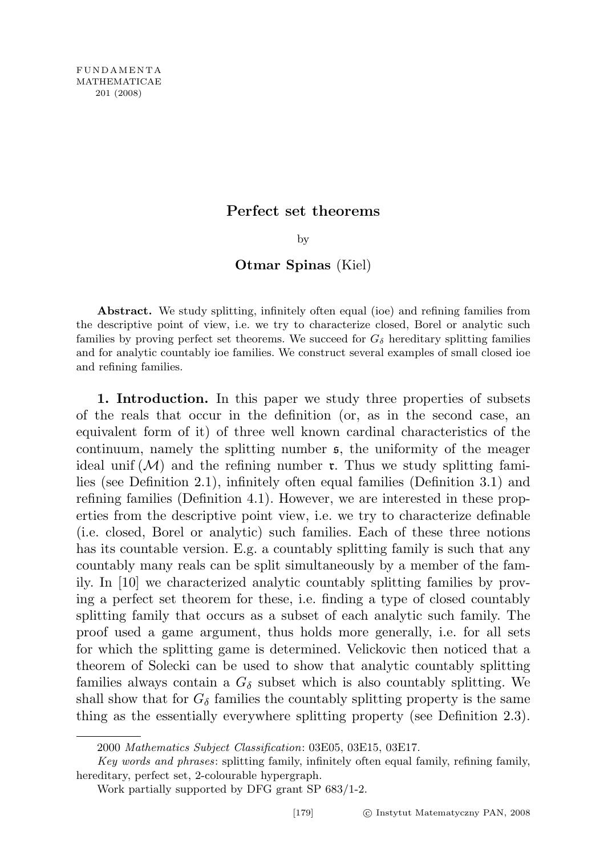# Perfect set theorems

by

## Otmar Spinas (Kiel)

Abstract. We study splitting, infinitely often equal (ioe) and refining families from the descriptive point of view, i.e. we try to characterize closed, Borel or analytic such families by proving perfect set theorems. We succeed for  $G_{\delta}$  hereditary splitting families and for analytic countably ioe families. We construct several examples of small closed ioe and refining families.

1. Introduction. In this paper we study three properties of subsets of the reals that occur in the definition (or, as in the second case, an equivalent form of it) of three well known cardinal characteristics of the continuum, namely the splitting number s, the uniformity of the meager ideal unif  $(M)$  and the refining number **r**. Thus we study splitting families (see Definition 2.1), infinitely often equal families (Definition 3.1) and refining families (Definition 4.1). However, we are interested in these properties from the descriptive point view, i.e. we try to characterize definable (i.e. closed, Borel or analytic) such families. Each of these three notions has its countable version. E.g. a countably splitting family is such that any countably many reals can be split simultaneously by a member of the family. In [10] we characterized analytic countably splitting families by proving a perfect set theorem for these, i.e. finding a type of closed countably splitting family that occurs as a subset of each analytic such family. The proof used a game argument, thus holds more generally, i.e. for all sets for which the splitting game is determined. Velickovic then noticed that a theorem of Solecki can be used to show that analytic countably splitting families always contain a  $G_{\delta}$  subset which is also countably splitting. We shall show that for  $G_{\delta}$  families the countably splitting property is the same thing as the essentially everywhere splitting property (see Definition 2.3).

<sup>2000</sup> Mathematics Subject Classification: 03E05, 03E15, 03E17.

Key words and phrases: splitting family, infinitely often equal family, refining family, hereditary, perfect set, 2-colourable hypergraph.

Work partially supported by DFG grant SP 683/1-2.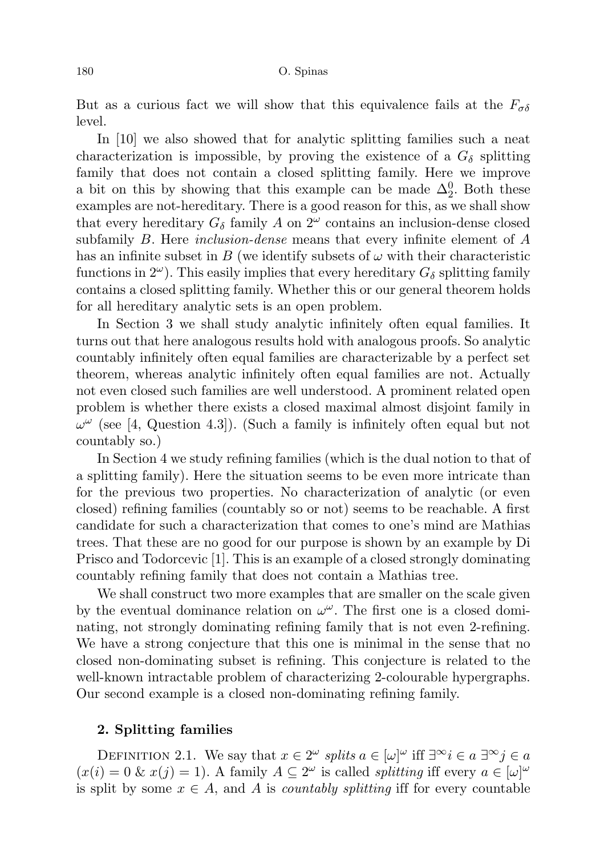But as a curious fact we will show that this equivalence fails at the  $F_{\sigma\delta}$ level.

In [10] we also showed that for analytic splitting families such a neat characterization is impossible, by proving the existence of a  $G_{\delta}$  splitting family that does not contain a closed splitting family. Here we improve a bit on this by showing that this example can be made  $\Delta_2^0$ . Both these examples are not-hereditary. There is a good reason for this, as we shall show that every hereditary  $G_{\delta}$  family A on  $2^{\omega}$  contains an inclusion-dense closed subfamily B. Here *inclusion-dense* means that every infinite element of A has an infinite subset in B (we identify subsets of  $\omega$  with their characteristic functions in  $2^{\omega}$ ). This easily implies that every hereditary  $G_{\delta}$  splitting family contains a closed splitting family. Whether this or our general theorem holds for all hereditary analytic sets is an open problem.

In Section 3 we shall study analytic infinitely often equal families. It turns out that here analogous results hold with analogous proofs. So analytic countably infinitely often equal families are characterizable by a perfect set theorem, whereas analytic infinitely often equal families are not. Actually not even closed such families are well understood. A prominent related open problem is whether there exists a closed maximal almost disjoint family in  $\omega^{\omega}$  (see [4, Question 4.3]). (Such a family is infinitely often equal but not countably so.)

In Section 4 we study refining families (which is the dual notion to that of a splitting family). Here the situation seems to be even more intricate than for the previous two properties. No characterization of analytic (or even closed) refining families (countably so or not) seems to be reachable. A first candidate for such a characterization that comes to one's mind are Mathias trees. That these are no good for our purpose is shown by an example by Di Prisco and Todorcevic [1]. This is an example of a closed strongly dominating countably refining family that does not contain a Mathias tree.

We shall construct two more examples that are smaller on the scale given by the eventual dominance relation on  $\omega^{\omega}$ . The first one is a closed dominating, not strongly dominating refining family that is not even 2-refining. We have a strong conjecture that this one is minimal in the sense that no closed non-dominating subset is refining. This conjecture is related to the well-known intractable problem of characterizing 2-colourable hypergraphs. Our second example is a closed non-dominating refining family.

## 2. Splitting families

DEFINITION 2.1. We say that  $x \in 2^{\omega}$  splits  $a \in [\omega]^{\omega}$  iff  $\exists^{\infty} i \in a \exists^{\infty} j \in a$  $(x(i) = 0 \& x(j) = 1)$ . A family  $A \subseteq 2^{\omega}$  is called *splitting* iff every  $a \in [\omega]^{\omega}$ is split by some  $x \in A$ , and A is *countably splitting* iff for every countable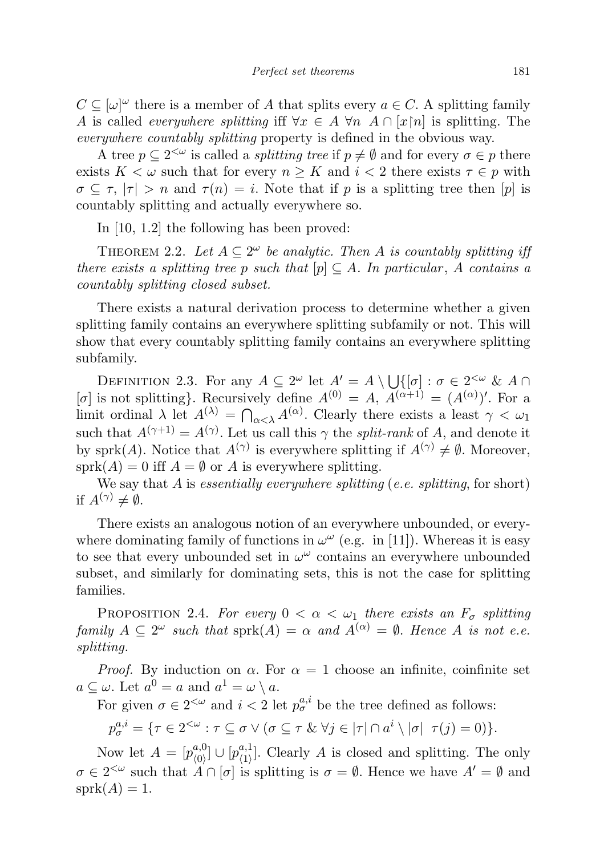$C \subseteq [\omega]^\omega$  there is a member of A that splits every  $a \in C$ . A splitting family A is called *everywhere splitting* iff  $\forall x \in A$   $\forall n$   $A \cap [x[n]$  is splitting. The everywhere countably splitting property is defined in the obvious way.

A tree  $p \subseteq 2^{\leq \omega}$  is called a *splitting tree* if  $p \neq \emptyset$  and for every  $\sigma \in p$  there exists  $K < \omega$  such that for every  $n \geq K$  and  $i < 2$  there exists  $\tau \in p$  with  $\sigma \subseteq \tau$ ,  $|\tau| > n$  and  $\tau(n) = i$ . Note that if p is a splitting tree then [p] is countably splitting and actually everywhere so.

In [10, 1.2] the following has been proved:

THEOREM 2.2. Let  $A \subseteq 2^{\omega}$  be analytic. Then A is countably splitting if there exists a splitting tree p such that  $[p] \subseteq A$ . In particular, A contains a countably splitting closed subset.

There exists a natural derivation process to determine whether a given splitting family contains an everywhere splitting subfamily or not. This will show that every countably splitting family contains an everywhere splitting subfamily.

DEFINITION 2.3. For any  $A \subseteq 2^{\omega}$  let  $A' = A \setminus \bigcup \{[\sigma] : \sigma \in 2^{<\omega} \& A \cap$ [ $\sigma$ ] is not splitting}. Recursively define  $A^{(0)} = A$ ,  $A^{(\alpha+1)} = (A^{(\alpha)})'$ . For a limit ordinal  $\lambda$  let  $A^{(\lambda)} = \bigcap_{\alpha < \lambda} A^{(\alpha)}$ . Clearly there exists a least  $\gamma < \omega_1$ such that  $A^{(\gamma+1)} = A^{(\gamma)}$ . Let us call this  $\gamma$  the *split-rank* of A, and denote it by sprk(A). Notice that  $A^{(\gamma)}$  is everywhere splitting if  $A^{(\gamma)} \neq \emptyset$ . Moreover,  $sprk(A) = 0$  iff  $A = \emptyset$  or A is everywhere splitting.

We say that A is essentially everywhere splitting (e.e. splitting, for short) if  $A^{(\gamma)} \neq \emptyset$ .

There exists an analogous notion of an everywhere unbounded, or everywhere dominating family of functions in  $\omega^{\omega}$  (e.g. in [11]). Whereas it is easy to see that every unbounded set in  $\omega^{\omega}$  contains an everywhere unbounded subset, and similarly for dominating sets, this is not the case for splitting families.

PROPOSITION 2.4. For every  $0 < \alpha < \omega_1$  there exists an  $F_{\sigma}$  splitting family  $A \subseteq 2^{\omega}$  such that  $sprk(A) = \alpha$  and  $A^{(\alpha)} = \emptyset$ . Hence A is not e.e. splitting.

*Proof.* By induction on  $\alpha$ . For  $\alpha = 1$  choose an infinite, coinfinite set  $a \subseteq \omega$ . Let  $a^0 = a$  and  $a^1 = \omega \setminus a$ .

For given  $\sigma \in 2^{<\omega}$  and  $i < 2$  let  $p_{\sigma}^{a,i}$  be the tree defined as follows:

 $p_{\sigma}^{a,i} = \{ \tau \in 2^{<\omega} : \tau \subseteq \sigma \vee (\sigma \subseteq \tau \& \forall j \in |\tau| \cap a^i \setminus |\sigma| \ \tau(j) = 0) \}.$ 

Now let  $A=[p_{\scriptscriptstyle(0)}^{a,0}]$  $\begin{array}{c} a,0\ \langle 0\rangle \end{array}$   $\cup$   $\big[p_{\langle 1\rangle}^{a,1}$  $\binom{a,1}{(1)}$ . Clearly A is closed and splitting. The only  $\sigma \in 2^{<\omega}$  such that  $A \cap [\sigma]$  is splitting is  $\sigma = \emptyset$ . Hence we have  $A' = \emptyset$  and  $sprk(A) = 1.$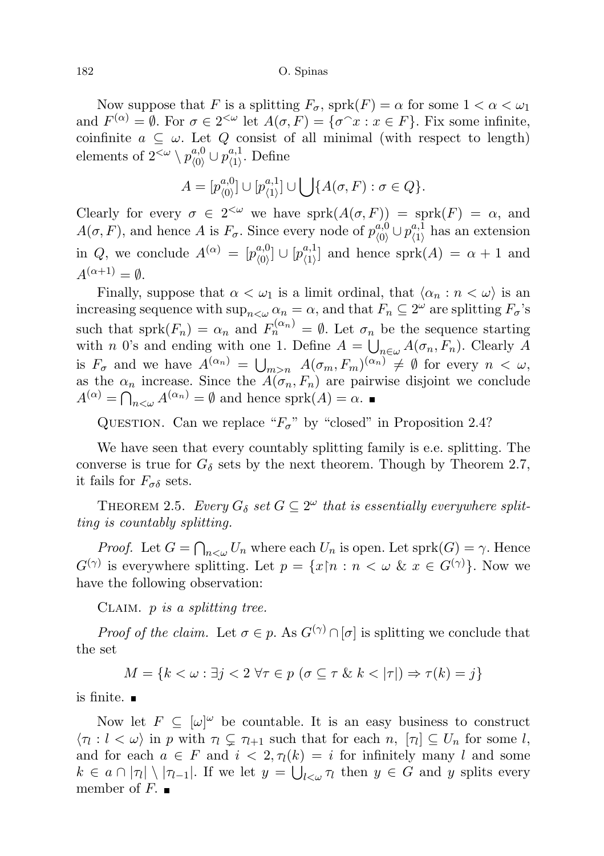#### 182 O. Spinas

Now suppose that F is a splitting  $F_{\sigma}$ , sprk $(F) = \alpha$  for some  $1 < \alpha < \omega_1$ and  $F^{(\alpha)} = \emptyset$ . For  $\sigma \in 2^{<\omega}$  let  $A(\sigma, F) = {\sigma^{\frown}x : x \in F}$ . Fix some infinite, coinfinite  $a \subseteq \omega$ . Let Q consist of all minimal (with respect to length) elements of  $2^{<\omega} \setminus p_{\langle 0 \rangle}^{a,0}$  $\mu^{a,0}_{\langle 0 \rangle} \cup p^{a,1}_{\langle 1 \rangle}$  $\big\langle \begin{smallmatrix} a,1 \\ 1 \end{smallmatrix} \big\rangle$ . Define

$$
A = [p_{(0)}^{a,0}] \cup [p_{(1)}^{a,1}] \cup \bigcup \{A(\sigma, F) : \sigma \in Q\}.
$$

Clearly for every  $\sigma \in 2^{<\omega}$  we have  $sprk(A(\sigma, F)) = sprk(F) = \alpha$ , and  $A(\sigma, F)$ , and hence A is  $F_{\sigma}$ . Since every node of  $p_{(0)}^{a,0}$  $\mu^{a,0}_{\langle 0 \rangle} \cup p^{a,1}_{\langle 1 \rangle}$  $\chi^{a,1}_{(1)}$  has an extension in Q, we conclude  $A^{(\alpha)} = [p_{\alpha}^{a,0}]$  $[\rho^{a,0}_{\langle 0\rangle}]\cup[p^{a,1}_{\langle 1\rangle}$  $\binom{a,1}{\langle 1 \rangle}$  and hence sprk $(A) = \alpha + 1$  and  $A^{(\alpha+1)} = \emptyset.$ 

Finally, suppose that  $\alpha < \omega_1$  is a limit ordinal, that  $\langle \alpha_n : n < \omega \rangle$  is an increasing sequence with  $\sup_{n\leq\omega}\alpha_n=\alpha$ , and that  $F_n\subseteq 2^\omega$  are splitting  $F_\sigma$ 's such that sprk $(F_n) = \alpha_n$  and  $F_n^{(\alpha_n)} = \emptyset$ . Let  $\sigma_n$  be the sequence starting with *n* 0's and ending with one 1. Define  $A = \bigcup_{n \in \omega} A(\sigma_n, F_n)$ . Clearly A is  $F_{\sigma}$  and we have  $A^{(\alpha_n)} = \bigcup_{m>n} A(\sigma_m, F_m)^{(\alpha_n)} \neq \emptyset$  for every  $n < \omega$ , as the  $\alpha_n$  increase. Since the  $A(\sigma_n, F_n)$  are pairwise disjoint we conclude  $A^{(\alpha)} = \bigcap_{n<\omega} A^{(\alpha_n)} = \emptyset$  and hence sprk $(A) = \alpha$ .

QUESTION. Can we replace " $F_{\sigma}$ " by "closed" in Proposition 2.4?

We have seen that every countably splitting family is e.e. splitting. The converse is true for  $G_{\delta}$  sets by the next theorem. Though by Theorem 2.7, it fails for  $F_{\sigma\delta}$  sets.

THEOREM 2.5. Every  $G_{\delta}$  set  $G \subseteq 2^{\omega}$  that is essentially everywhere splitting is countably splitting.

*Proof.* Let  $G = \bigcap_{n < \omega} U_n$  where each  $U_n$  is open. Let  $\text{sprk}(G) = \gamma$ . Hence  $G^{(\gamma)}$  is everywhere splitting. Let  $p = \{x \mid n : n \leq \omega \& x \in G^{(\gamma)}\}$ . Now we have the following observation:

CLAIM.  $p$  is a splitting tree.

*Proof of the claim.* Let  $\sigma \in p$ . As  $G^{(\gamma)} \cap [\sigma]$  is splitting we conclude that the set

$$
M = \{k < \omega : \exists j < 2 \,\forall \tau \in p \, \left(\sigma \subseteq \tau \,\& k < |\tau|\right) \Rightarrow \tau(k) = j\}
$$

is finite.

Now let  $F \subseteq [\omega]^\omega$  be countable. It is an easy business to construct  $\langle \tau_l : l < \omega \rangle$  in p with  $\tau_l \subsetneq \tau_{l+1}$  such that for each  $n, \; [\tau_l] \subseteq U_n$  for some l, and for each  $a \in F$  and  $i < 2, \tau_l(k) = i$  for infinitely many l and some  $k \in a \cap |\tau| \setminus |\tau_{l-1}|$ . If we let  $y = \bigcup_{l < \omega} \tau_l$  then  $y \in G$  and y splits every member of F.  $\blacksquare$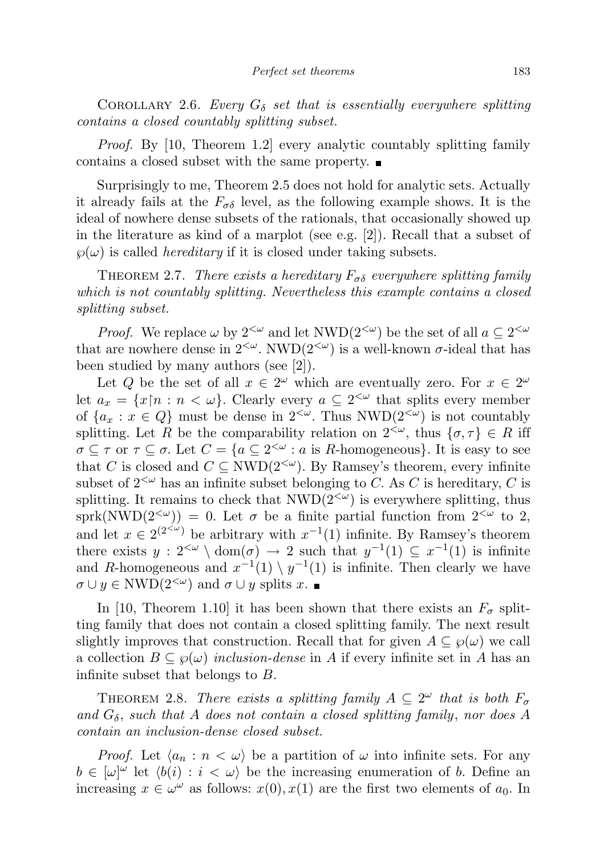COROLLARY 2.6. Every  $G_{\delta}$  set that is essentially everywhere splitting contains a closed countably splitting subset.

Proof. By [10, Theorem 1.2] every analytic countably splitting family contains a closed subset with the same property.

Surprisingly to me, Theorem 2.5 does not hold for analytic sets. Actually it already fails at the  $F_{\sigma\delta}$  level, as the following example shows. It is the ideal of nowhere dense subsets of the rationals, that occasionally showed up in the literature as kind of a marplot (see e.g. [2]). Recall that a subset of  $\wp(\omega)$  is called *hereditary* if it is closed under taking subsets.

THEOREM 2.7. There exists a hereditary  $F_{\sigma\delta}$  everywhere splitting family which is not countably splitting. Nevertheless this example contains a closed splitting subset.

*Proof.* We replace  $\omega$  by  $2^{<\omega}$  and let  $NWD(2^{<\omega})$  be the set of all  $a \subseteq 2^{<\omega}$ that are nowhere dense in  $2^{<\omega}$ . NWD $(2^{<\omega})$  is a well-known  $\sigma$ -ideal that has been studied by many authors (see [2]).

Let Q be the set of all  $x \in 2^{\omega}$  which are eventually zero. For  $x \in 2^{\omega}$ let  $a_x = \{x \mid n : n < \omega\}$ . Clearly every  $a \subseteq 2^{<\omega}$  that splits every member of  $\{a_x : x \in Q\}$  must be dense in  $2^{<\omega}$ . Thus NWD $(2^{<\omega})$  is not countably splitting. Let R be the comparability relation on  $2^{<\omega}$ , thus  $\{\sigma, \tau\} \in R$  iff  $\sigma \subseteq \tau$  or  $\tau \subseteq \sigma$ . Let  $C = \{a \subseteq 2^{<\omega} : a \text{ is } R\text{-homogeneous}\}\.$  It is easy to see that C is closed and  $C \subseteq NWD(2^{&\omega})$ . By Ramsey's theorem, every infinite subset of  $2^{<\omega}$  has an infinite subset belonging to C. As C is hereditary, C is splitting. It remains to check that  $NWD(2<sup>{\sim}</sup>)$  is everywhere splitting, thus sprk(NWD(2<sup> $\langle \omega \rangle$ </sup>) = 0. Let  $\sigma$  be a finite partial function from 2<sup> $\langle \omega \rangle$ </sup> to 2, and let  $x \in 2^{(2<\omega)}$  be arbitrary with  $x^{-1}(1)$  infinite. By Ramsey's theorem there exists  $y: 2^{<\omega} \setminus \text{dom}(\sigma) \to 2$  such that  $y^{-1}(1) \subseteq x^{-1}(1)$  is infinite and R-homogeneous and  $x^{-1}(1) \setminus y^{-1}(1)$  is infinite. Then clearly we have  $\sigma \cup y \in \text{NWD}(2^{<\omega})$  and  $\sigma \cup y$  splits x.

In [10, Theorem 1.10] it has been shown that there exists an  $F_{\sigma}$  splitting family that does not contain a closed splitting family. The next result slightly improves that construction. Recall that for given  $A \subseteq \mathcal{G}(\omega)$  we call a collection  $B \subseteq \wp(\omega)$  inclusion-dense in A if every infinite set in A has an infinite subset that belongs to B.

THEOREM 2.8. There exists a splitting family  $A \subseteq 2^{\omega}$  that is both  $F_{\sigma}$ and  $G_{\delta}$ , such that A does not contain a closed splitting family, nor does A contain an inclusion-dense closed subset.

*Proof.* Let  $\langle a_n : n \langle \omega \rangle$  be a partition of  $\omega$  into infinite sets. For any  $b \in [\omega]^\omega$  let  $\langle b(i) : i \langle \omega \rangle$  be the increasing enumeration of b. Define an increasing  $x \in \omega^{\omega}$  as follows:  $x(0), x(1)$  are the first two elements of  $a_0$ . In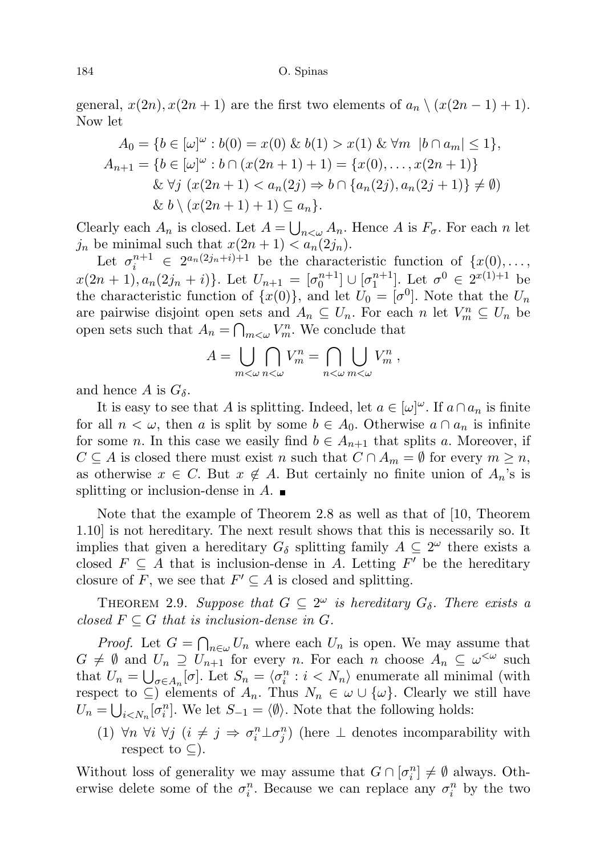#### 184 O. Spinas

general,  $x(2n)$ ,  $x(2n + 1)$  are the first two elements of  $a_n \setminus (x(2n - 1) + 1)$ . Now let

$$
A_0 = \{b \in [\omega]^\omega : b(0) = x(0) \& b(1) > x(1) \& \forall m \ |b \cap a_m| \le 1\},\
$$
  
\n
$$
A_{n+1} = \{b \in [\omega]^\omega : b \cap (x(2n+1)+1) = \{x(0), \dots, x(2n+1)\}\
$$
  
\n
$$
\& \forall j \ (x(2n+1) < a_n(2j) \Rightarrow b \cap \{a_n(2j), a_n(2j+1)\} \ne \emptyset)
$$
  
\n
$$
\& b \setminus (x(2n+1)+1) \subseteq a_n\}.
$$

Clearly each  $A_n$  is closed. Let  $A = \bigcup_{n<\omega} A_n$ . Hence A is  $F_{\sigma}$ . For each n let  $j_n$  be minimal such that  $x(2n + 1) < a_n(2j_n)$ .

Let  $\sigma_i^{n+1} \in 2^{a_n(2j_n+i)+1}$  be the characteristic function of  $\{x(0), \ldots, x(n)\}$  $x(2n+1), a_n(2j_n+i)$ . Let  $U_{n+1} = [\sigma_0^{n+1}] \cup [\sigma_1^{n+1}]$ . Let  $\sigma^0 \in 2^{x(1)+1}$  be the characteristic function of  $\{x(0)\}\$ , and let  $U_0 = [\sigma^0]$ . Note that the  $U_n$ are pairwise disjoint open sets and  $A_n \subseteq U_n$ . For each n let  $V_m^n \subseteq U_n$  be open sets such that  $A_n = \bigcap_{m \leq \omega} V_m^n$ . We conclude that

$$
A = \bigcup_{m < \omega} \bigcap_{n < \omega} V_m^n = \bigcap_{n < \omega} \bigcup_{m < \omega} V_m^n \;,
$$

and hence A is  $G_{\delta}$ .

It is easy to see that A is splitting. Indeed, let  $a \in [\omega]^\omega$ . If  $a \cap a_n$  is finite for all  $n < \omega$ , then a is split by some  $b \in A_0$ . Otherwise  $a \cap a_n$  is infinite for some *n*. In this case we easily find  $b \in A_{n+1}$  that splits *a*. Moreover, if  $C \subseteq A$  is closed there must exist n such that  $C \cap A_m = \emptyset$  for every  $m \geq n$ , as otherwise  $x \in C$ . But  $x \notin A$ . But certainly no finite union of  $A_n$ 's is splitting or inclusion-dense in  $A$ .

Note that the example of Theorem 2.8 as well as that of [10, Theorem 1.10] is not hereditary. The next result shows that this is necessarily so. It implies that given a hereditary  $G_{\delta}$  splitting family  $A \subseteq 2^{\omega}$  there exists a closed  $F \subseteq A$  that is inclusion-dense in A. Letting  $F'$  be the hereditary closure of F, we see that  $F' \subseteq A$  is closed and splitting.

THEOREM 2.9. Suppose that  $G \subseteq 2^{\omega}$  is hereditary  $G_{\delta}$ . There exists a closed  $F \subseteq G$  that is inclusion-dense in G.

*Proof.* Let  $G = \bigcap_{n \in \omega} U_n$  where each  $U_n$  is open. We may assume that  $G \neq \emptyset$  and  $U_n \supseteq U_{n+1}$  for every n. For each n choose  $A_n \subseteq \omega^{\lt \omega}$  such that  $U_n = \bigcup_{\sigma \in A_n} [\sigma]$ . Let  $S_n = \langle \sigma_i^n : i \langle N_n \rangle$  enumerate all minimal (with respect to  $\subseteq$ ) elements of  $A_n$ . Thus  $N_n \in \omega \cup \{\omega\}$ . Clearly we still have  $U_n = \bigcup_{i \leq N_n} [\sigma_i^n]$ . We let  $S_{-1} = \langle \emptyset \rangle$ . Note that the following holds:

(1)  $\forall n \ \forall i \ \forall j \ (i \neq j \Rightarrow \sigma_i^n \bot \sigma_j^n)$  (here  $\bot$  denotes incomparability with respect to  $\subset$ ).

Without loss of generality we may assume that  $G \cap [\sigma_i^n] \neq \emptyset$  always. Otherwise delete some of the  $\sigma_i^n$ . Because we can replace any  $\sigma_i^n$  by the two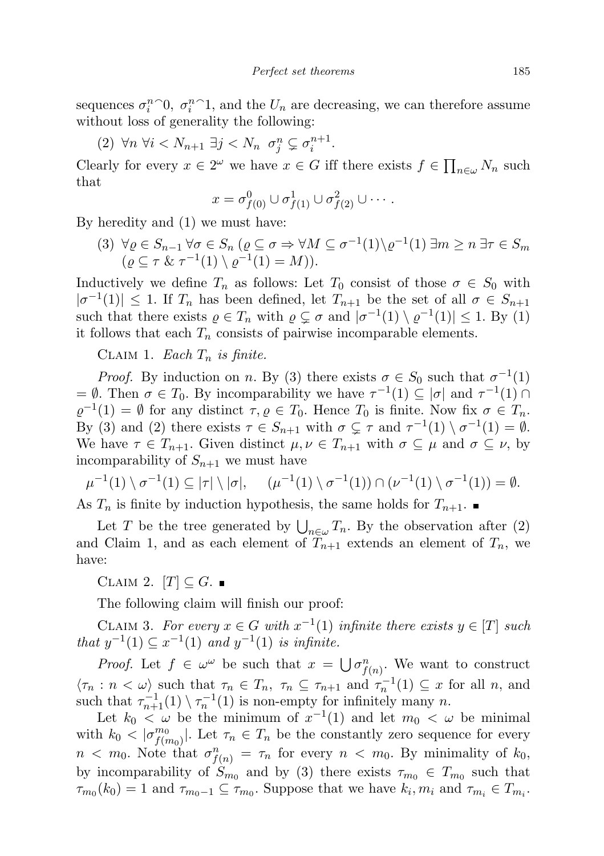sequences  $\sigma_i^n$ <sup> $\cap$ </sup> $\theta$ ,  $\sigma_i^n$ <sup> $\cap$ </sup> $1$ , and the  $U_n$  are decreasing, we can therefore assume without loss of generality the following:

(2)  $\forall n \; \forall i < N_{n+1} \; \exists j < N_n \; \sigma_j^n \subsetneq \sigma_i^{n+1}.$ 

Clearly for every  $x \in 2^{\omega}$  we have  $x \in G$  iff there exists  $f \in \prod_{n \in \omega} N_n$  such that

$$
x = \sigma_{f(0)}^0 \cup \sigma_{f(1)}^1 \cup \sigma_{f(2)}^2 \cup \cdots
$$

By heredity and (1) we must have:

(3)  $\forall \varrho \in S_{n-1} \ \forall \sigma \in S_n \ (\varrho \subseteq \sigma \Rightarrow \forall M \subseteq \sigma^{-1}(1) \setminus \varrho^{-1}(1) \ \exists m \geq n \ \exists \tau \in S_m$  $(\varrho \subseteq \tau \& \tau^{-1}(1) \setminus \varrho^{-1}(1) = M)).$ 

Inductively we define  $T_n$  as follows: Let  $T_0$  consist of those  $\sigma \in S_0$  with  $|\sigma^{-1}(1)| \leq 1$ . If  $T_n$  has been defined, let  $T_{n+1}$  be the set of all  $\sigma \in S_{n+1}$ such that there exists  $\varrho \in T_n$  with  $\varrho \subsetneq \sigma$  and  $|\sigma^{-1}(1) \setminus \varrho^{-1}(1)| \leq 1$ . By (1) it follows that each  $T_n$  consists of pairwise incomparable elements.

CLAIM 1. Each  $T_n$  is finite.

*Proof.* By induction on n. By (3) there exists  $\sigma \in S_0$  such that  $\sigma^{-1}(1)$ =  $\emptyset$ . Then  $\sigma \in T_0$ . By incomparability we have  $\tau^{-1}(1) \subseteq |\sigma|$  and  $\tau^{-1}(1) \cap$  $\varrho^{-1}(1) = \emptyset$  for any distinct  $\tau, \varrho \in T_0$ . Hence  $T_0$  is finite. Now fix  $\sigma \in T_n$ . By (3) and (2) there exists  $\tau \in S_{n+1}$  with  $\sigma \subsetneq \tau$  and  $\tau^{-1}(1) \setminus \sigma^{-1}(1) = \emptyset$ . We have  $\tau \in T_{n+1}$ . Given distinct  $\mu, \nu \in T_{n+1}$  with  $\sigma \subseteq \mu$  and  $\sigma \subseteq \nu$ , by incomparability of  $S_{n+1}$  we must have

$$
\mu^{-1}(1) \setminus \sigma^{-1}(1) \subseteq |\tau| \setminus |\sigma|, \quad (\mu^{-1}(1) \setminus \sigma^{-1}(1)) \cap (\nu^{-1}(1) \setminus \sigma^{-1}(1)) = \emptyset.
$$

As  $T_n$  is finite by induction hypothesis, the same holds for  $T_{n+1}$ .

Let T be the tree generated by  $\bigcup_{n\in\omega}T_n$ . By the observation after (2) and Claim 1, and as each element of  $T_{n+1}$  extends an element of  $T_n$ , we have:

CLAIM 2.  $[T] \subseteq G$ .

The following claim will finish our proof:

CLAIM 3. For every  $x \in G$  with  $x^{-1}(1)$  infinite there exists  $y \in [T]$  such *that*  $y^{-1}(1)$  ⊆  $x^{-1}(1)$  *and*  $y^{-1}(1)$  *is infinite.* 

*Proof.* Let  $f \in \omega^{\omega}$  be such that  $x = \bigcup \sigma_{f(n)}^n$ . We want to construct  $\langle \tau_n : n \langle \omega \rangle \text{ such that } \tau_n \in T_n, \ \tau_n \subseteq \tau_{n+1} \text{ and } \tau_n^{-1}(1) \subseteq x \text{ for all } n, \text{ and }$ such that  $\tau_{n+1}^{-1}(1) \setminus \tau_n^{-1}(1)$  is non-empty for infinitely many n.

Let  $k_0 < \omega$  be the minimum of  $x^{-1}(1)$  and let  $m_0 < \omega$  be minimal with  $k_0 < |\sigma_{f(r)}^{m_0}|$  $\binom{m_0}{f(m_0)}$ . Let  $\tau_n \in T_n$  be the constantly zero sequence for every  $n < m_0$ . Note that  $\sigma_{f(n)}^n = \tau_n$  for every  $n < m_0$ . By minimality of  $k_0$ , by incomparability of  $S_{m_0}$  and by (3) there exists  $\tau_{m_0} \in T_{m_0}$  such that  $\tau_{m_0}(k_0) = 1$  and  $\tau_{m_0-1} \subseteq \tau_{m_0}$ . Suppose that we have  $k_i, m_i$  and  $\tau_{m_i} \in T_{m_i}$ .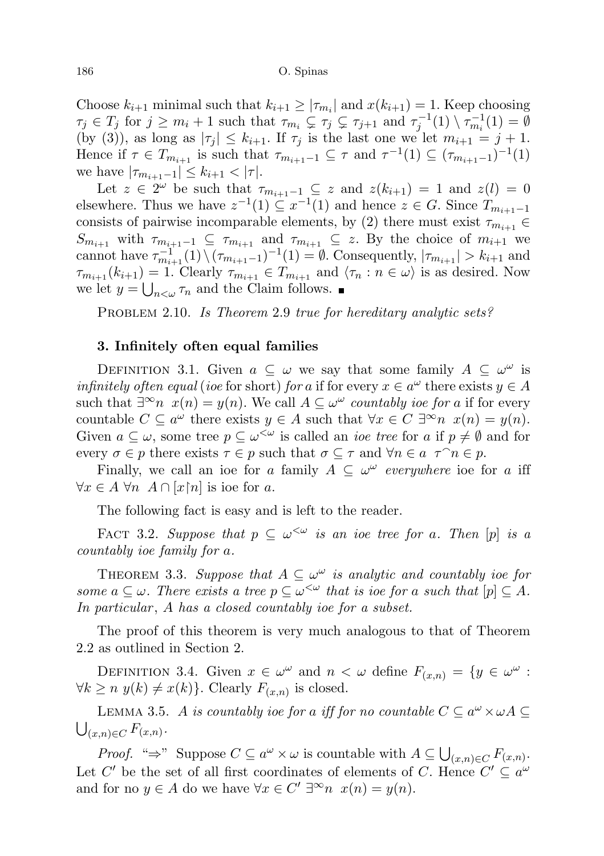Choose  $k_{i+1}$  minimal such that  $k_{i+1} \geq |\tau_{m_i}|$  and  $x(k_{i+1}) = 1$ . Keep choosing  $\tau_j \in T_j$  for  $j \geq m_i + 1$  such that  $\tau_{m_i} \subsetneq \tau_j \subsetneq \tau_{j+1}$  and  $\tau_j^{-1}(1) \setminus \tau_{m_i}^{-1}(1) = \emptyset$ (by (3)), as long as  $|\tau_i| \leq k_{i+1}$ . If  $\tau_i$  is the last one we let  $m_{i+1} = j + 1$ . Hence if  $\tau \in T_{m_{i+1}}$  is such that  $\tau_{m_{i+1}-1} \subseteq \tau$  and  $\tau^{-1}(1) \subseteq (\tau_{m_{i+1}-1})^{-1}(1)$ we have  $|\tau_{m_{i+1}-1}| \leq k_{i+1} < |\tau|$ .

Let  $z \in 2^{\omega}$  be such that  $\tau_{m_{i+1}-1} \subseteq z$  and  $z(k_{i+1}) = 1$  and  $z(l) = 0$ elsewhere. Thus we have  $z^{-1}(1) \subseteq x^{-1}(1)$  and hence  $z \in G$ . Since  $T_{m_{i+1}-1}$ consists of pairwise incomparable elements, by (2) there must exist  $\tau_{m_{i+1}} \in$  $S_{m_{i+1}}$  with  $\tau_{m_{i+1}-1} \subseteq \tau_{m_{i+1}}$  and  $\tau_{m_{i+1}} \subseteq z$ . By the choice of  $m_{i+1}$  we cannot have  $\tau_{m_{i+1}}^{-1}(1) \setminus (\tau_{m_{i+1}-1})^{-1}(1) = \emptyset$ . Consequently,  $|\tau_{m_{i+1}}| > k_{i+1}$  and  $\tau_{m_{i+1}}(k_{i+1}) = 1$ . Clearly  $\tau_{m_{i+1}} \in T_{m_{i+1}}$  and  $\langle \tau_n : n \in \omega \rangle$  is as desired. Now we let  $y = \bigcup_{n<\omega} \tau_n$  and the Claim follows.

PROBLEM 2.10. Is Theorem 2.9 true for hereditary analytic sets?

## 3. Infinitely often equal families

DEFINITION 3.1. Given  $a \subseteq \omega$  we say that some family  $A \subseteq \omega^{\omega}$  is *infinitely often equal (ioe* for short) *for a* if for every  $x \in a^{\omega}$  there exists  $y \in A$ such that  $\exists^{\infty} n \ x(n) = y(n)$ . We call  $A \subseteq \omega^{\omega}$  countably ioe for a if for every countable  $C \subseteq a^{\omega}$  there exists  $y \in A$  such that  $\forall x \in C \exists^{\infty} n \ x(n) = y(n)$ . Given  $a \subseteq \omega$ , some tree  $p \subseteq \omega^{\leq \omega}$  is called an *ioe tree* for a if  $p \neq \emptyset$  and for every  $\sigma \in p$  there exists  $\tau \in p$  such that  $\sigma \subseteq \tau$  and  $\forall n \in a$   $\tau \cap n \in p$ .

Finally, we call an ioe for a family  $A \subseteq \omega^\omega$  everywhere ioe for a iff  $\forall x \in A \ \forall n \ A \cap [x \nmid n]$  is ioe for a.

The following fact is easy and is left to the reader.

FACT 3.2. Suppose that  $p \subseteq \omega^{\lt \omega}$  is an ioe tree for a. Then  $[p]$  is a countably ioe family for a.

THEOREM 3.3. Suppose that  $A \subseteq \omega^\omega$  is analytic and countably ioe for some  $a \subseteq \omega$ . There exists a tree  $p \subseteq \omega^{\leq \omega}$  that is ioe for a such that  $[p] \subseteq A$ . In particular, A has a closed countably ioe for a subset.

The proof of this theorem is very much analogous to that of Theorem 2.2 as outlined in Section 2.

DEFINITION 3.4. Given  $x \in \omega^{\omega}$  and  $n < \omega$  define  $F_{(x,n)} = \{y \in \omega^{\omega} :$  $\forall k \geq n \ y(k) \neq x(k) \}$ . Clearly  $F_{(x,n)}$  is closed.

LEMMA 3.5. A is countably ioe for a iff for no countable  $C \subseteq a^{\omega} \times \omega A$  $\bigcup_{(x,n)\in C} F_{(x,n)}.$ 

*Proof.* "⇒" Suppose  $C \subseteq a^{\omega} \times \omega$  is countable with  $A \subseteq \bigcup_{(x,n) \in C} F_{(x,n)}$ . Let C' be the set of all first coordinates of elements of C. Hence  $C' \subseteq a^{\omega}$ and for no  $y \in A$  do we have  $\forall x \in C' \exists^{\infty} n \ x(n) = y(n)$ .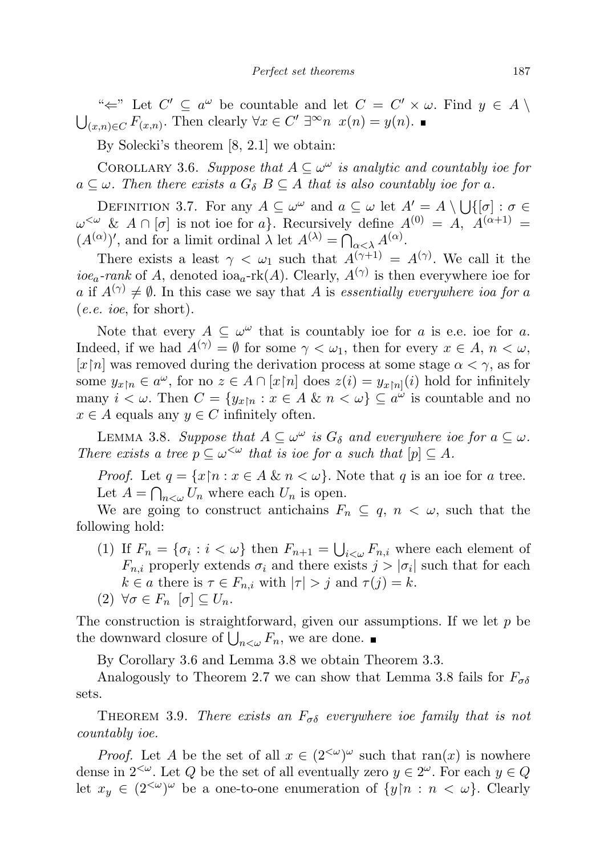" $\Leftarrow$ " Let  $C' \subseteq a^{\omega}$  be countable and let  $C = C' \times \omega$ . Find  $y \in A \setminus$  $\bigcup_{(x,n)\in C} F_{(x,n)}$ . Then clearly  $\forall x \in C' \exists^{\infty} n \ x(n) = y(n)$ .

By Solecki's theorem [8, 2.1] we obtain:

COROLLARY 3.6. Suppose that  $A \subseteq \omega^\omega$  is analytic and countably ioe for  $a \subseteq \omega$ . Then there exists a  $G_{\delta}$  B  $\subseteq$  A that is also countably ioe for a.

DEFINITION 3.7. For any  $A \subseteq \omega^{\omega}$  and  $a \subseteq \omega$  let  $A' = A \setminus \bigcup \{[\sigma] : \sigma \in \Omega\}$  $\omega^{\leq \omega}$  &  $A \cap [\sigma]$  is not ioe for a}. Recursively define  $A^{(0)} = A$ ,  $A^{(\alpha+1)} =$  $(A^{(\alpha)})'$ , and for a limit ordinal  $\lambda$  let  $A^{(\lambda)} = \bigcap_{\alpha < \lambda} A^{(\alpha)}$ .

There exists a least  $\gamma < \omega_1$  such that  $A^{(\gamma+1)} = A^{(\gamma)}$ . We call it the *ioe<sub>a</sub>*-rank of A, denoted ioa<sub>a</sub>-rk(A). Clearly,  $A^{(\gamma)}$  is then everywhere ioe for a if  $A^{(\gamma)} \neq \emptyset$ . In this case we say that A is essentially everywhere ioa for a (e.e. ioe, for short).

Note that every  $A \subseteq \omega^{\omega}$  that is countably ioe for a is e.e. ioe for a. Indeed, if we had  $A^{(\gamma)} = \emptyset$  for some  $\gamma < \omega_1$ , then for every  $x \in A$ ,  $n < \omega$ , [x|n] was removed during the derivation process at some stage  $\alpha < \gamma$ , as for some  $y_{x|n} \in a^{\omega}$ , for no  $z \in A \cap [x \upharpoonright n]$  does  $z(i) = y_{x\upharpoonright n}(i)$  hold for infinitely many  $i < \omega$ . Then  $C = \{y_{x|n} : x \in A \& n < \omega\} \subseteq a^{\omega}$  is countable and no  $x \in A$  equals any  $y \in C$  infinitely often.

LEMMA 3.8. Suppose that  $A \subseteq \omega^{\omega}$  is  $G_{\delta}$  and everywhere ioe for  $a \subseteq \omega$ . There exists a tree  $p \subseteq \omega^{\lt \omega}$  that is ioe for a such that  $[p] \subseteq A$ .

*Proof.* Let  $q = \{x \mid n : x \in A \& n < \omega\}$ . Note that q is an ioe for a tree. Let  $A = \bigcap_{n<\omega} U_n$  where each  $U_n$  is open.

We are going to construct antichains  $F_n \subseteq q$ ,  $n < \omega$ , such that the following hold:

(1) If  $F_n = \{\sigma_i : i < \omega\}$  then  $F_{n+1} = \bigcup_{i < \omega} F_{n,i}$  where each element of  $F_{n,i}$  properly extends  $\sigma_i$  and there exists  $j > |\sigma_i|$  such that for each  $k \in a$  there is  $\tau \in F_{n,i}$  with  $|\tau| > j$  and  $\tau(j) = k$ .

$$
(2) \ \forall \sigma \in F_n \ [\sigma] \subseteq U_n.
$$

The construction is straightforward, given our assumptions. If we let  $p$  be the downward closure of  $\bigcup_{n<\omega} F_n$ , we are done.

By Corollary 3.6 and Lemma 3.8 we obtain Theorem 3.3.

Analogously to Theorem 2.7 we can show that Lemma 3.8 fails for  $F_{\sigma\delta}$ sets.

THEOREM 3.9. There exists an  $F_{\sigma\delta}$  everywhere ioe family that is not countably ioe.

*Proof.* Let A be the set of all  $x \in (2^{<\omega})^{\omega}$  such that ran(x) is nowhere dense in  $2^{&\omega}$ . Let Q be the set of all eventually zero  $y \in 2^{\omega}$ . For each  $y \in Q$ let  $x_y \in (2^{<\omega})^{\omega}$  be a one-to-one enumeration of  $\{y \mid n : n < \omega\}$ . Clearly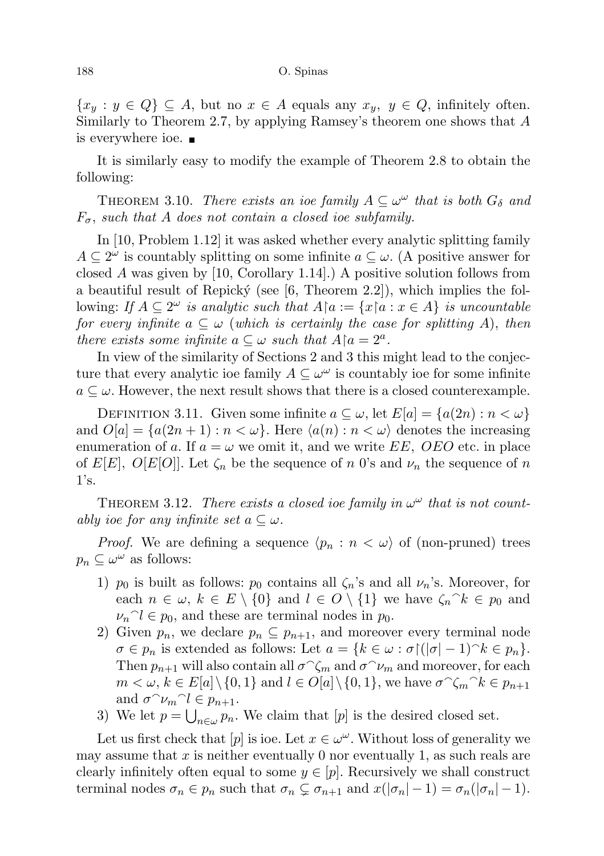$\{x_y : y \in Q\} \subseteq A$ , but no  $x \in A$  equals any  $x_y, y \in Q$ , infinitely often. Similarly to Theorem 2.7, by applying Ramsey's theorem one shows that  $A$ is everywhere ioe.

It is similarly easy to modify the example of Theorem 2.8 to obtain the following:

THEOREM 3.10. There exists an ioe family  $A \subseteq \omega^{\omega}$  that is both  $G_{\delta}$  and  $F_{\sigma}$ , such that A does not contain a closed ioe subfamily.

In [10, Problem 1.12] it was asked whether every analytic splitting family  $A \subseteq 2^{\omega}$  is countably splitting on some infinite  $a \subseteq \omega$ . (A positive answer for closed A was given by  $[10, Corollary 1.14]$ .) A positive solution follows from a beautiful result of Repický (see  $[6,$  Theorem 2.2]), which implies the following: If  $A \subseteq 2^{\omega}$  is analytic such that  $A \upharpoonright a := \{x \upharpoonright a : x \in A\}$  is uncountable for every infinite  $a \subseteq \omega$  (which is certainly the case for splitting A), then there exists some infinite  $a \subseteq \omega$  such that  $A \upharpoonright a = 2^a$ .

In view of the similarity of Sections 2 and 3 this might lead to the conjecture that every analytic ioe family  $A \subseteq \omega^{\omega}$  is countably ioe for some infinite  $a \subseteq \omega$ . However, the next result shows that there is a closed counterexample.

DEFINITION 3.11. Given some infinite  $a \subseteq \omega$ , let  $E[a] = \{a(2n) : n < \omega\}$ and  $O[a] = \{a(2n+1) : n < \omega\}$ . Here  $\langle a(n) : n < \omega \rangle$  denotes the increasing enumeration of a. If  $a = \omega$  we omit it, and we write EE, OEO etc. in place of  $E[E]$ ,  $O[E[O]]$ . Let  $\zeta_n$  be the sequence of n 0's and  $\nu_n$  the sequence of n  $1's.$ 

THEOREM 3.12. There exists a closed ioe family in  $\omega^{\omega}$  that is not countably ioe for any infinite set  $a \subseteq \omega$ .

*Proof.* We are defining a sequence  $\langle p_n : n \langle \omega \rangle$  of (non-pruned) trees  $p_n \subseteq \omega^\omega$  as follows:

- 1)  $p_0$  is built as follows:  $p_0$  contains all  $\zeta_n$ 's and all  $\nu_n$ 's. Moreover, for each  $n \in \omega$ ,  $k \in E \setminus \{0\}$  and  $l \in O \setminus \{1\}$  we have  $\zeta_n \< p_0$  and  $\nu_n$ <sup> $\lceil e \rceil$ </sup> $\geq$   $\lceil e \rceil$ <sub>20</sub>, and these are terminal nodes in  $p_0$ .
- 2) Given  $p_n$ , we declare  $p_n \nsubseteq p_{n+1}$ , and moreover every terminal node  $\sigma \in p_n$  is extended as follows: Let  $a = \{k \in \omega : \sigma \mid (|\sigma| - 1)^k \in p_n\}.$ Then  $p_{n+1}$  will also contain all  $\sigma^{\frown}\zeta_m$  and  $\sigma^{\frown}\nu_m$  and moreover, for each  $m < \omega, k \in E[a] \setminus \{0, 1\}$  and  $l \in O[a] \setminus \{0, 1\}$ , we have  $\sigma \widehat{\zeta_m}^k \in p_{n+1}$ and  $\sigma \sim \nu_m \sim l \in p_{n+1}$ .
- 3) We let  $p = \bigcup_{n \in \omega} p_n$ . We claim that  $[p]$  is the desired closed set.

Let us first check that  $[p]$  is ioe. Let  $x \in \omega^{\omega}$ . Without loss of generality we may assume that x is neither eventually 0 nor eventually 1, as such reals are clearly infinitely often equal to some  $y \in [p]$ . Recursively we shall construct terminal nodes  $\sigma_n \in p_n$  such that  $\sigma_n \subsetneq \sigma_{n+1}$  and  $x(|\sigma_n| - 1) = \sigma_n(|\sigma_n| - 1)$ .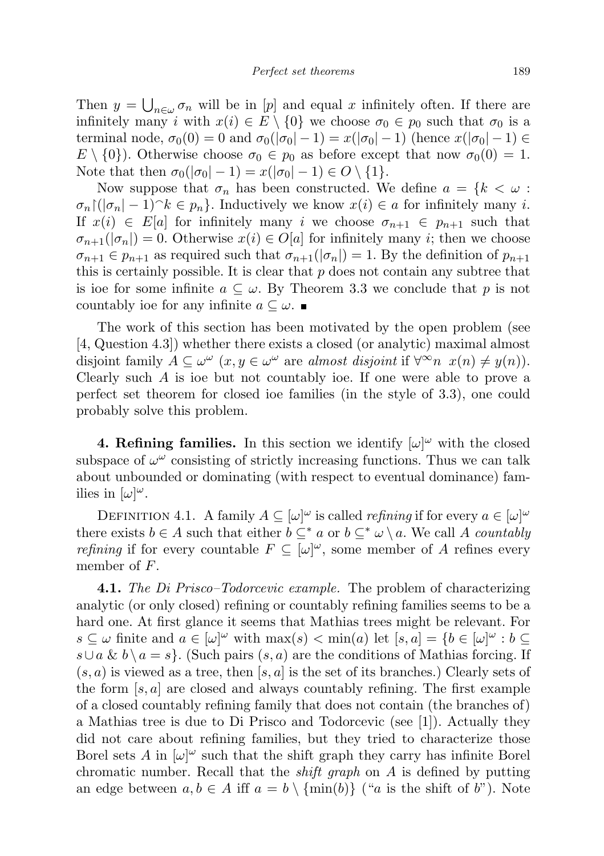Then  $y = \bigcup_{n \in \omega} \sigma_n$  will be in [p] and equal x infinitely often. If there are infinitely many i with  $x(i) \in E \setminus \{0\}$  we choose  $\sigma_0 \in p_0$  such that  $\sigma_0$  is a terminal node,  $\sigma_0(0) = 0$  and  $\sigma_0(|\sigma_0| - 1) = x(|\sigma_0| - 1)$  (hence  $x(|\sigma_0| - 1) \in$  $E \setminus \{0\}$ . Otherwise choose  $\sigma_0 \in p_0$  as before except that now  $\sigma_0(0) = 1$ . Note that then  $\sigma_0(|\sigma_0| - 1) = x(|\sigma_0| - 1) \in O \setminus \{1\}.$ 

Now suppose that  $\sigma_n$  has been constructed. We define  $a = \{k < \omega :$  $\sigma_n((|\sigma_n| - 1)^k \in p_n)$ . Inductively we know  $x(i) \in a$  for infinitely many i. If  $x(i) \in E[a]$  for infinitely many i we choose  $\sigma_{n+1} \in p_{n+1}$  such that  $\sigma_{n+1}(|\sigma_n|) = 0$ . Otherwise  $x(i) \in O[a]$  for infinitely many *i*; then we choose  $\sigma_{n+1} \in p_{n+1}$  as required such that  $\sigma_{n+1}(|\sigma_n|) = 1$ . By the definition of  $p_{n+1}$ this is certainly possible. It is clear that  $p$  does not contain any subtree that is ioe for some infinite  $a \subseteq \omega$ . By Theorem 3.3 we conclude that p is not countably ioe for any infinite  $a \subseteq \omega$ .

The work of this section has been motivated by the open problem (see [4, Question 4.3]) whether there exists a closed (or analytic) maximal almost disjoint family  $A \subseteq \omega^{\omega}$   $(x, y \in \omega^{\omega} \text{ are almost disjoint if } \forall^{\infty} n \ x(n) \neq y(n)).$ Clearly such A is ioe but not countably ioe. If one were able to prove a perfect set theorem for closed ioe families (in the style of 3.3), one could probably solve this problem.

**4. Refining families.** In this section we identify  $[\omega]^\omega$  with the closed subspace of  $\omega^{\omega}$  consisting of strictly increasing functions. Thus we can talk about unbounded or dominating (with respect to eventual dominance) families in  $[\omega]^\omega$ .

DEFINITION 4.1. A family  $A \subseteq [\omega]^\omega$  is called *refining* if for every  $a \in [\omega]^\omega$ there exists  $b \in A$  such that either  $b \subseteq^* a$  or  $b \subseteq^* \omega \setminus a$ . We call A countably *refining* if for every countable  $F \subseteq [\omega]^\omega$ , some member of A refines every member of F.

4.1. The Di Prisco–Todorcevic example. The problem of characterizing analytic (or only closed) refining or countably refining families seems to be a hard one. At first glance it seems that Mathias trees might be relevant. For  $s \subseteq \omega$  finite and  $a \in [\omega]^{\omega}$  with  $\max(s) < \min(a)$  let  $[s, a] = \{b \in [\omega]^{\omega} : b \subseteq$  $s \cup a \& b \setminus a = s$ . (Such pairs  $(s, a)$  are the conditions of Mathias forcing. If  $(s, a)$  is viewed as a tree, then  $[s, a]$  is the set of its branches.) Clearly sets of the form  $[s, a]$  are closed and always countably refining. The first example of a closed countably refining family that does not contain (the branches of) a Mathias tree is due to Di Prisco and Todorcevic (see [1]). Actually they did not care about refining families, but they tried to characterize those Borel sets A in  $[\omega]^\omega$  such that the shift graph they carry has infinite Borel chromatic number. Recall that the shift graph on A is defined by putting an edge between  $a, b \in A$  iff  $a = b \setminus \{\min(b)\}\$  ("a is the shift of b"). Note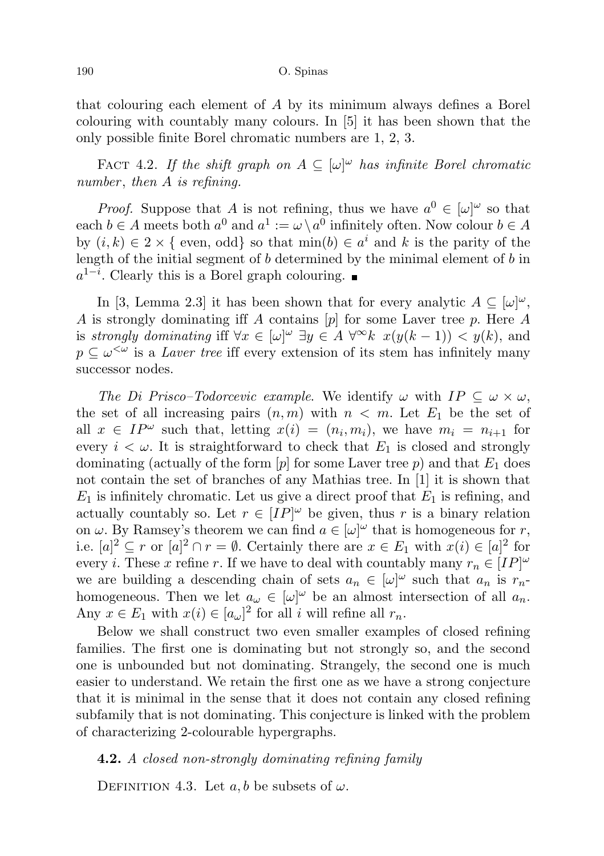that colouring each element of A by its minimum always defines a Borel colouring with countably many colours. In [5] it has been shown that the only possible finite Borel chromatic numbers are 1, 2, 3.

FACT 4.2. If the shift graph on  $A \subseteq [\omega]^\omega$  has infinite Borel chromatic number, then  $A$  is refining.

*Proof.* Suppose that A is not refining, thus we have  $a^0 \in [\omega]^\omega$  so that each  $b \in A$  meets both  $a^0$  and  $a^1 := \omega \setminus a^0$  infinitely often. Now colour  $b \in A$ by  $(i, k) \in 2 \times \{$  even, odd so that  $\min(b) \in a^i$  and k is the parity of the length of the initial segment of  $b$  determined by the minimal element of  $b$  in  $a^{1-i}$ . Clearly this is a Borel graph colouring.

In [3, Lemma 2.3] it has been shown that for every analytic  $A \subseteq [\omega]^\omega$ , A is strongly dominating iff A contains  $[p]$  for some Laver tree p. Here A is strongly dominating iff  $\forall x \in [\omega]^\omega \exists y \in A \ \forall^\infty k \ x(y(k-1)) < y(k)$ , and  $p \subseteq \omega^{\leq \omega}$  is a Laver tree iff every extension of its stem has infinitely many successor nodes.

The Di Prisco–Todorcevic example. We identify  $\omega$  with  $IP \subseteq \omega \times \omega$ , the set of all increasing pairs  $(n, m)$  with  $n < m$ . Let  $E_1$  be the set of all  $x \in IP^{\omega}$  such that, letting  $x(i) = (n_i, m_i)$ , we have  $m_i = n_{i+1}$  for every  $i < \omega$ . It is straightforward to check that  $E_1$  is closed and strongly dominating (actually of the form  $[p]$  for some Laver tree p) and that  $E_1$  does not contain the set of branches of any Mathias tree. In [1] it is shown that  $E_1$  is infinitely chromatic. Let us give a direct proof that  $E_1$  is refining, and actually countably so. Let  $r \in [IP]^\omega$  be given, thus r is a binary relation on  $\omega$ . By Ramsey's theorem we can find  $a \in [\omega]^{\omega}$  that is homogeneous for r, i.e.  $[a]^2 \subseteq r$  or  $[a]^2 \cap r = \emptyset$ . Certainly there are  $x \in E_1$  with  $x(i) \in [a]^2$  for every *i*. These x refine r. If we have to deal with countably many  $r_n \in [IP]^\omega$ we are building a descending chain of sets  $a_n \in [\omega]^\omega$  such that  $a_n$  is  $r_n$ homogeneous. Then we let  $a_{\omega} \in [\omega]^{\omega}$  be an almost intersection of all  $a_n$ . Any  $x \in E_1$  with  $x(i) \in [a_\omega]^2$  for all i will refine all  $r_n$ .

Below we shall construct two even smaller examples of closed refining families. The first one is dominating but not strongly so, and the second one is unbounded but not dominating. Strangely, the second one is much easier to understand. We retain the first one as we have a strong conjecture that it is minimal in the sense that it does not contain any closed refining subfamily that is not dominating. This conjecture is linked with the problem of characterizing 2-colourable hypergraphs.

## 4.2. A closed non-strongly dominating refining family

DEFINITION 4.3. Let  $a, b$  be subsets of  $\omega$ .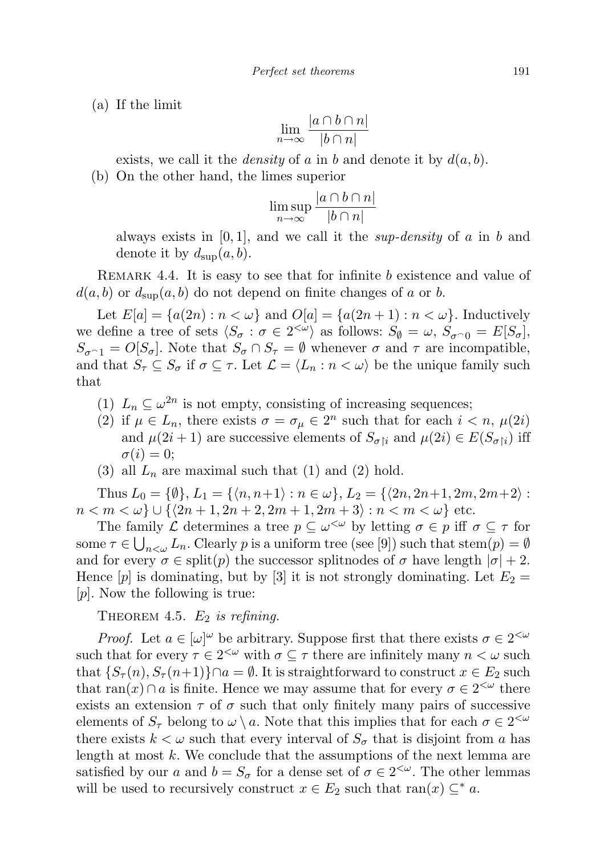(a) If the limit

$$
\lim_{n \to \infty} \frac{|a \cap b \cap n|}{|b \cap n|}
$$

exists, we call it the *density* of a in b and denote it by  $d(a, b)$ .

(b) On the other hand, the limes superior

$$
\limsup_{n \to \infty} \frac{|a \cap b \cap n|}{|b \cap n|}
$$

always exists in  $[0, 1]$ , and we call it the *sup-density* of a in b and denote it by  $d_{\text{sup}}(a, b)$ .

REMARK 4.4. It is easy to see that for infinite b existence and value of  $d(a, b)$  or  $d_{\text{sup}}(a, b)$  do not depend on finite changes of a or b.

Let  $E[a] = \{a(2n) : n < \omega\}$  and  $O[a] = \{a(2n+1) : n < \omega\}$ . Inductively we define a tree of sets  $\langle S_{\sigma} : \sigma \in 2^{<\omega} \rangle$  as follows:  $S_{\emptyset} = \omega$ ,  $S_{\sigma^{\frown}0} = E[S_{\sigma}],$  $S_{\sigma^{-1}} = O[S_{\sigma}]$ . Note that  $S_{\sigma} \cap S_{\tau} = \emptyset$  whenever  $\sigma$  and  $\tau$  are incompatible, and that  $S_{\tau} \subseteq S_{\sigma}$  if  $\sigma \subseteq \tau$ . Let  $\mathcal{L} = \langle L_n : n \langle \omega \rangle$  be the unique family such that

- (1)  $L_n \subseteq \omega^{2n}$  is not empty, consisting of increasing sequences;
- (2) if  $\mu \in L_n$ , there exists  $\sigma = \sigma_\mu \in 2^n$  such that for each  $i < n$ ,  $\mu(2i)$ and  $\mu(2i+1)$  are successive elements of  $S_{\sigma[i]}$  and  $\mu(2i) \in E(S_{\sigma[i]})$  iff  $\sigma(i) = 0;$
- (3) all  $L_n$  are maximal such that (1) and (2) hold.

Thus  $L_0 = \{\emptyset\}, L_1 = \{\langle n, n+1 \rangle : n \in \omega\}, L_2 = \{\langle 2n, 2n+1, 2m, 2m+2 \rangle :$  $n < m < \omega$   $\cup$  { $\langle 2n + 1, 2n + 2, 2m + 1, 2m + 3 \rangle : n < m < \omega$ } etc.

The family L determines a tree  $p \subseteq \omega^{\leq \omega}$  by letting  $\sigma \in p$  iff  $\sigma \subseteq \tau$  for some  $\tau \in \bigcup_{n<\omega} L_n$ . Clearly p is a uniform tree (see [9]) such that stem $(p) = \emptyset$ and for every  $\sigma \in \text{split}(p)$  the successor splitnodes of  $\sigma$  have length  $|\sigma| + 2$ . Hence  $[p]$  is dominating, but by [3] it is not strongly dominating. Let  $E_2 =$ [p]. Now the following is true:

THEOREM 4.5.  $E_2$  is refining.

*Proof.* Let  $a \in [\omega]^\omega$  be arbitrary. Suppose first that there exists  $\sigma \in 2^{<\omega}$ such that for every  $\tau \in 2^{<\omega}$  with  $\sigma \subseteq \tau$  there are infinitely many  $n < \omega$  such that  $\{S_{\tau}(n), S_{\tau}(n+1)\}\cap a = \emptyset$ . It is straightforward to construct  $x \in E_2$  such that  $ran(x) \cap a$  is finite. Hence we may assume that for every  $\sigma \in 2^{<\omega}$  there exists an extension  $\tau$  of  $\sigma$  such that only finitely many pairs of successive elements of  $S_{\tau}$  belong to  $\omega \setminus a$ . Note that this implies that for each  $\sigma \in 2^{<\omega}$ there exists  $k < \omega$  such that every interval of  $S_{\sigma}$  that is disjoint from a has length at most  $k$ . We conclude that the assumptions of the next lemma are satisfied by our a and  $b = S_{\sigma}$  for a dense set of  $\sigma \in 2^{<\omega}$ . The other lemmas will be used to recursively construct  $x \in E_2$  such that ran $(x) \subseteq^* a$ .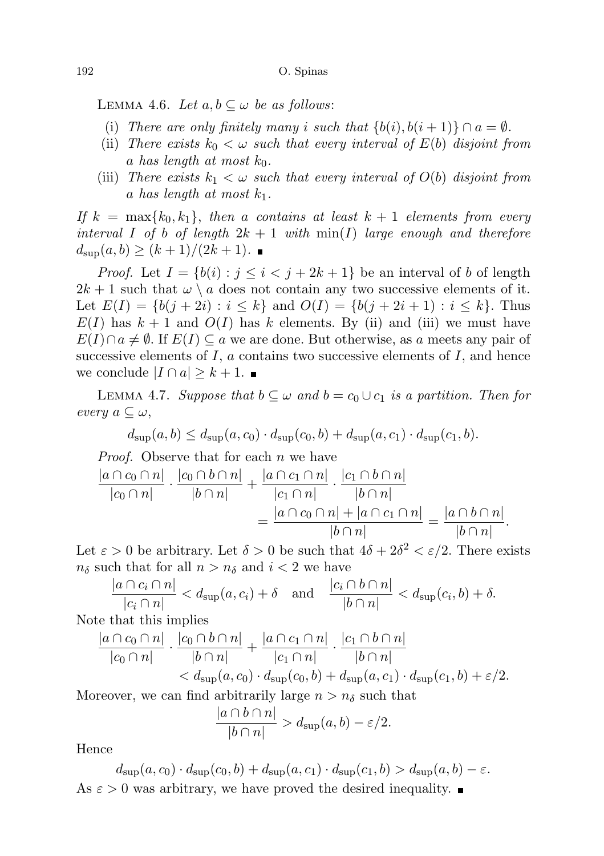LEMMA 4.6. Let  $a, b \subseteq \omega$  be as follows:

- (i) There are only finitely many i such that  $\{b(i), b(i+1)\}\cap a = \emptyset$ .
- (ii) There exists  $k_0 < \omega$  such that every interval of  $E(b)$  disjoint from a has length at most  $k_0$ .
- (iii) There exists  $k_1 < \omega$  such that every interval of  $O(b)$  disjoint from a has length at most  $k_1$ .

If  $k = \max\{k_0, k_1\}$ , then a contains at least  $k + 1$  elements from every interval I of b of length  $2k + 1$  with  $\min(I)$  large enough and therefore  $d_{\text{sup}}(a, b) \ge (k+1)/(2k+1)$ .

*Proof.* Let  $I = \{b(i) : j \leq i < j + 2k + 1\}$  be an interval of b of length  $2k + 1$  such that  $\omega \setminus a$  does not contain any two successive elements of it. Let  $E(I) = \{b(j + 2i) : i \leq k\}$  and  $O(I) = \{b(j + 2i + 1) : i \leq k\}$ . Thus  $E(I)$  has  $k + 1$  and  $O(I)$  has k elements. By (ii) and (iii) we must have  $E(I) \cap a \neq \emptyset$ . If  $E(I) \subseteq a$  we are done. But otherwise, as a meets any pair of successive elements of  $I$ ,  $\alpha$  contains two successive elements of  $I$ , and hence we conclude  $|I \cap a| \geq k+1$ .

LEMMA 4.7. Suppose that  $b \subseteq \omega$  and  $b = c_0 \cup c_1$  is a partition. Then for every  $a \subseteq \omega$ ,

$$
d_{\text{sup}}(a,b) \leq d_{\text{sup}}(a,c_0) \cdot d_{\text{sup}}(c_0,b) + d_{\text{sup}}(a,c_1) \cdot d_{\text{sup}}(c_1,b).
$$

Proof. Observe that for each n we have

$$
\frac{|a \cap c_0 \cap n|}{|c_0 \cap n|} \cdot \frac{|c_0 \cap b \cap n|}{|b \cap n|} + \frac{|a \cap c_1 \cap n|}{|c_1 \cap n|} \cdot \frac{|c_1 \cap b \cap n|}{|b \cap n|}
$$

$$
= \frac{|a \cap c_0 \cap n| + |a \cap c_1 \cap n|}{|b \cap n|} = \frac{|a \cap b \cap n|}{|b \cap n|}.
$$

Let  $\varepsilon > 0$  be arbitrary. Let  $\delta > 0$  be such that  $4\delta + 2\delta^2 < \varepsilon/2$ . There exists  $n_{\delta}$  such that for all  $n > n_{\delta}$  and  $i < 2$  we have

$$
\frac{|a \cap c_i \cap n|}{|c_i \cap n|} < d_{\text{sup}}(a, c_i) + \delta \quad \text{and} \quad \frac{|c_i \cap b \cap n|}{|b \cap n|} < d_{\text{sup}}(c_i, b) + \delta.
$$

Note that this implies

$$
\frac{|a \cap c_0 \cap n|}{|c_0 \cap n|} \cdot \frac{|c_0 \cap b \cap n|}{|b \cap n|} + \frac{|a \cap c_1 \cap n|}{|c_1 \cap n|} \cdot \frac{|c_1 \cap b \cap n|}{|b \cap n|}
$$
  
<  $d_{\text{sup}}(a, c_0) \cdot d_{\text{sup}}(c_0, b) + d_{\text{sup}}(a, c_1) \cdot d_{\text{sup}}(c_1, b) + \varepsilon/2.$ 

Moreover, we can find arbitrarily large  $n > n_{\delta}$  such that

$$
\frac{|a \cap b \cap n|}{|b \cap n|} > d_{\text{sup}}(a, b) - \varepsilon/2.
$$

Hence

$$
d_{\text{sup}}(a, c_0) \cdot d_{\text{sup}}(c_0, b) + d_{\text{sup}}(a, c_1) \cdot d_{\text{sup}}(c_1, b) > d_{\text{sup}}(a, b) - \varepsilon.
$$
  
As  $\varepsilon > 0$  was arbitrary, we have proved the desired inequality.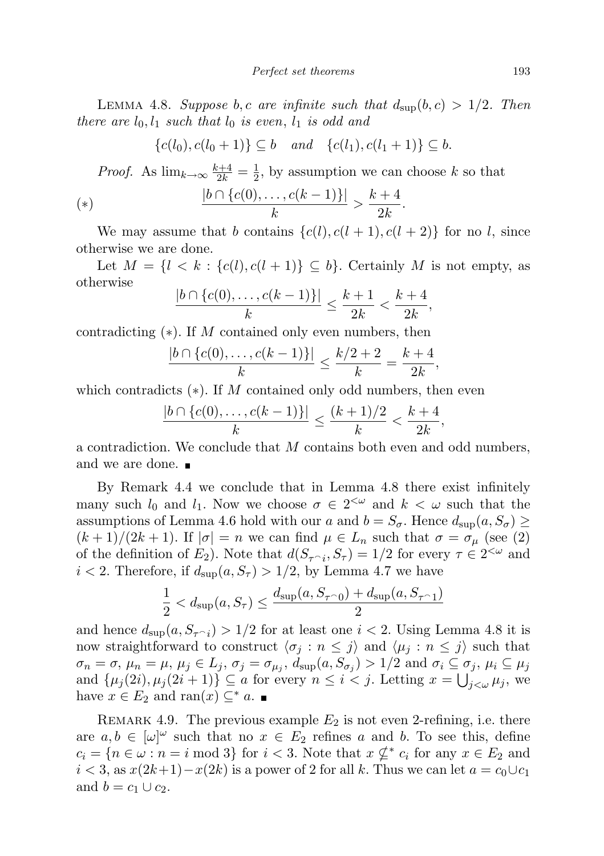LEMMA 4.8. Suppose b, c are infinite such that  $d_{\text{sup}}(b, c) > 1/2$ . Then there are  $l_0, l_1$  such that  $l_0$  is even,  $l_1$  is odd and

$$
\{c(l_0), c(l_0+1)\} \subseteq b \quad and \quad \{c(l_1), c(l_1+1)\} \subseteq b.
$$

*Proof.* As  $\lim_{k\to\infty} \frac{k+4}{2k} = \frac{1}{2}$  $\frac{1}{2}$ , by assumption we can choose k so that

(\*) 
$$
\frac{|b \cap \{c(0), \ldots, c(k-1)\}|}{k} > \frac{k+4}{2k}.
$$

We may assume that b contains  $\{c(l), c(l+1), c(l+2)\}\$  for no l, since otherwise we are done.

Let  $M = \{l \leq k : \{c(l), c(l+1)\} \subseteq b\}$ . Certainly M is not empty, as otherwise

$$
\frac{|b \cap \{c(0), \dots, c(k-1)\}|}{k} \le \frac{k+1}{2k} < \frac{k+4}{2k},
$$

contradicting  $(*)$ . If M contained only even numbers, then

$$
\frac{|b \cap \{c(0), \dots, c(k-1)\}|}{k} \le \frac{k/2 + 2}{k} = \frac{k+4}{2k},
$$

which contradicts  $(*)$ . If M contained only odd numbers, then even

$$
\frac{|b \cap \{c(0), \dots, c(k-1)\}|}{k} \le \frac{(k+1)/2}{k} < \frac{k+4}{2k},
$$

a contradiction. We conclude that M contains both even and odd numbers, and we are done.

By Remark 4.4 we conclude that in Lemma 4.8 there exist infinitely many such  $l_0$  and  $l_1$ . Now we choose  $\sigma \in 2^{<\omega}$  and  $k < \omega$  such that the assumptions of Lemma 4.6 hold with our a and  $b = S_{\sigma}$ . Hence  $d_{\text{sup}}(a, S_{\sigma}) \ge$  $(k+1)/(2k+1)$ . If  $|\sigma|=n$  we can find  $\mu \in L_n$  such that  $\sigma=\sigma_{\mu}$  (see (2) of the definition of  $E_2$ ). Note that  $d(S_{\tau \cap i}, S_{\tau}) = 1/2$  for every  $\tau \in 2^{<\omega}$  and  $i < 2$ . Therefore, if  $d_{\text{sup}}(a, S_{\tau}) > 1/2$ , by Lemma 4.7 we have

$$
\frac{1}{2} < d_{\text{sup}}(a, S_{\tau}) \le \frac{d_{\text{sup}}(a, S_{\tau \cap 0}) + d_{\text{sup}}(a, S_{\tau \cap 1})}{2}
$$

and hence  $d_{\text{sup}}(a, S_{\tau \cap i}) > 1/2$  for at least one  $i < 2$ . Using Lemma 4.8 it is now straightforward to construct  $\langle \sigma_i : n \leq j \rangle$  and  $\langle \mu_i : n \leq j \rangle$  such that  $\sigma_n = \sigma, \, \mu_n = \mu, \, \mu_j \in L_j, \, \sigma_j = \sigma_{\mu_j}, \, d_{\sup}(a, S_{\sigma_j}) > 1/2 \text{ and } \sigma_i \subseteq \sigma_j, \, \mu_i \subseteq \mu_j$ and  $\{\mu_j(2i), \mu_j(2i+1)\}\subseteq a$  for every  $n \leq i < j$ . Letting  $x = \bigcup_{j < \omega} \mu_j$ , we have  $x \in E_2$  and ran(x)  $\subseteq^*$  a.

REMARK 4.9. The previous example  $E_2$  is not even 2-refining, i.e. there are  $a, b \in [\omega]^\omega$  such that no  $x \in E_2$  refines a and b. To see this, define  $c_i = \{n \in \omega : n = i \mod 3\}$  for  $i < 3$ . Note that  $x \nsubseteq^* c_i$  for any  $x \in E_2$  and  $i < 3$ , as  $x(2k+1)-x(2k)$  is a power of 2 for all k. Thus we can let  $a = c_0 \cup c_1$ and  $b = c_1 \cup c_2$ .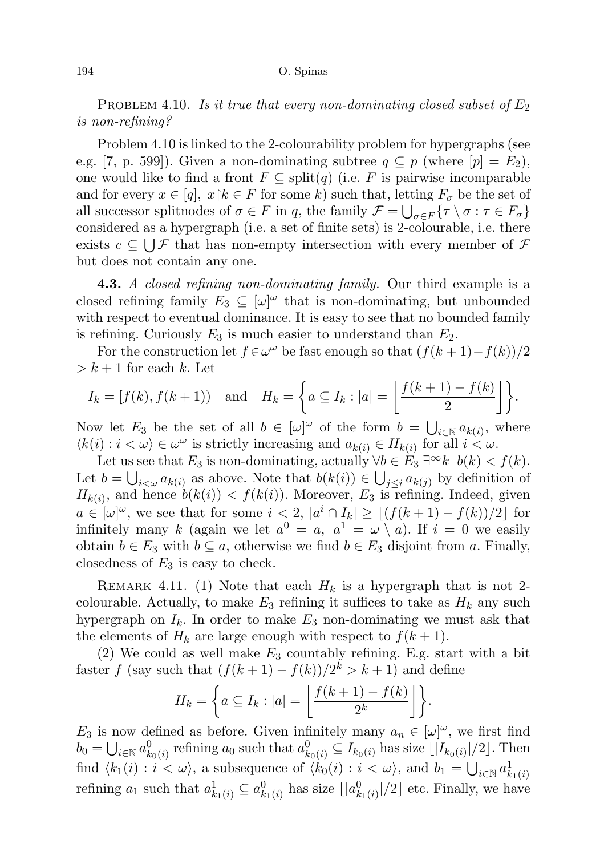#### 194 O. Spinas

PROBLEM 4.10. Is it true that every non-dominating closed subset of  $E_2$ is non-refining?

Problem 4.10 is linked to the 2-colourability problem for hypergraphs (see e.g. [7, p. 599]). Given a non-dominating subtree  $q \subseteq p$  (where  $[p] = E_2$ ), one would like to find a front  $F \subseteq \text{split}(q)$  (i.e. F is pairwise incomparable and for every  $x \in [q]$ ,  $x \upharpoonright k \in F$  for some k) such that, letting  $F_{\sigma}$  be the set of all successor splitnodes of  $\sigma \in F$  in q, the family  $\mathcal{F} = \bigcup_{\sigma \in F} {\{\tau \setminus \sigma : \tau \in F_{\sigma}\}}$ considered as a hypergraph (i.e. a set of finite sets) is 2-colourable, i.e. there exists  $c \subseteq \bigcup \mathcal{F}$  that has non-empty intersection with every member of  $\mathcal{F}$ but does not contain any one.

**4.3.** A closed refining non-dominating family. Our third example is a closed refining family  $E_3 \subseteq [\omega]^\omega$  that is non-dominating, but unbounded with respect to eventual dominance. It is easy to see that no bounded family is refining. Curiously  $E_3$  is much easier to understand than  $E_2$ .

For the construction let  $f \in \omega^\omega$  be fast enough so that  $(f(k+1)-f(k))/2$  $> k + 1$  for each k. Let

$$
I_k = [f(k), f(k+1)) \text{ and } H_k = \left\{ a \subseteq I_k : |a| = \left\lfloor \frac{f(k+1) - f(k)}{2} \right\rfloor \right\}.
$$

Now let  $E_3$  be the set of all  $b \in [\omega]^\omega$  of the form  $b = \bigcup_{i \in \mathbb{N}} a_{k(i)}$ , where  $\langle k(i) : i < \omega \rangle \in \omega^{\omega}$  is strictly increasing and  $a_{k(i)} \in H_{k(i)}$  for all  $i < \omega$ .

Let us see that  $E_3$  is non-dominating, actually  $\forall b \in E_3 \exists^{\infty} k \; b(k) < f(k)$ . Let  $b = \bigcup_{i < \omega} a_{k(i)}$  as above. Note that  $b(k(i)) \in \bigcup_{j \leq i} a_{k(j)}$  by definition of  $H_{k(i)}$ , and hence  $b(k(i)) < f(k(i))$ . Moreover,  $E_3$  is refining. Indeed, given  $a \in [\omega]^\omega$ , we see that for some  $i < 2$ ,  $|a^i \cap I_k| \ge |(f(k+1) - f(k))/2|$  for infinitely many k (again we let  $a^0 = a$ ,  $a^1 = \omega \setminus a$ ). If  $i = 0$  we easily obtain  $b \in E_3$  with  $b \subseteq a$ , otherwise we find  $b \in E_3$  disjoint from a. Finally, closedness of  $E_3$  is easy to check.

REMARK 4.11. (1) Note that each  $H_k$  is a hypergraph that is not 2colourable. Actually, to make  $E_3$  refining it suffices to take as  $H_k$  any such hypergraph on  $I_k$ . In order to make  $E_3$  non-dominating we must ask that the elements of  $H_k$  are large enough with respect to  $f(k+1)$ .

(2) We could as well make  $E_3$  countably refining. E.g. start with a bit faster f (say such that  $(f(k+1) - f(k))/2^k > k+1$ ) and define

$$
H_k = \left\{ a \subseteq I_k : |a| = \left\lfloor \frac{f(k+1) - f(k)}{2^k} \right\rfloor \right\}.
$$

 $E_3$  is now defined as before. Given infinitely many  $a_n \in [\omega]^\omega$ , we first find  $b_0 = \bigcup_{i \in \mathbb{N}} a_{k_0(i)}^0$  refining  $a_0$  such that  $a_{k_0(i)}^0 \subseteq I_{k_0(i)}$  has size  $\lfloor |I_{k_0(i)}|/2 \rfloor$ . Then find  $\langle k_1(i) : i < \omega \rangle$ , a subsequence of  $\langle k_0(i) : i < \omega \rangle$ , and  $b_1 = \bigcup_{i \in \mathbb{N}} a^1_{k_1(i)}$ refining  $a_1$  such that  $a_{k_1(i)}^1 \subseteq a_{k_1(i)}^0$  has size  $\lfloor |a_{k_1(i)}^0|/2 \rfloor$  etc. Finally, we have